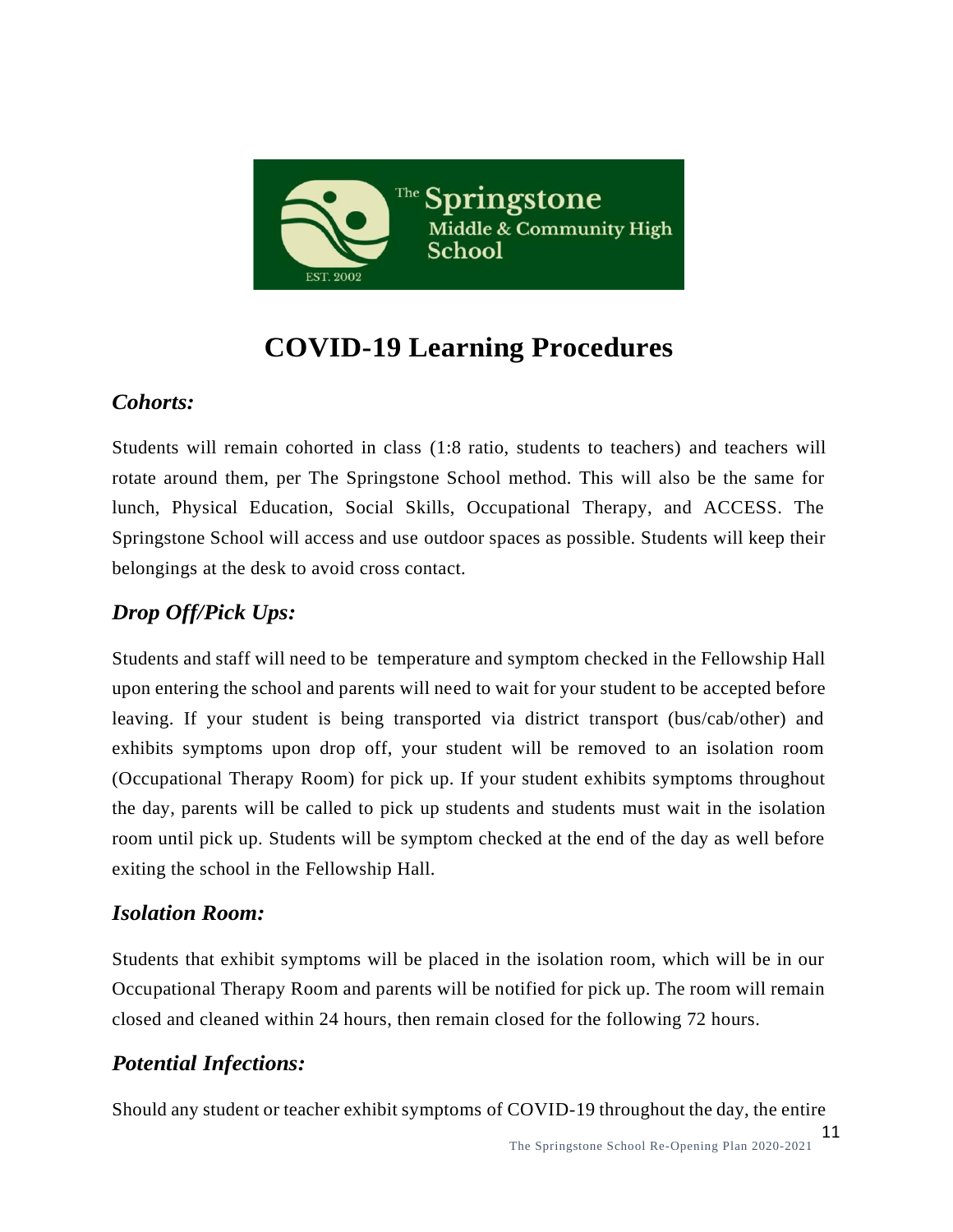

# **COVID-19 Learning Procedures**

#### *Cohorts:*

Students will remain cohorted in class (1:8 ratio, students to teachers) and teachers will rotate around them, per The Springstone School method. This will also be the same for lunch, Physical Education, Social Skills, Occupational Therapy, and ACCESS. The Springstone School will access and use outdoor spaces as possible. Students will keep their belongings at the desk to avoid cross contact.

### *Drop Off/Pick Ups:*

Students and staff will need to be temperature and symptom checked in the Fellowship Hall upon entering the school and parents will need to wait for your student to be accepted before leaving. If your student is being transported via district transport (bus/cab/other) and exhibits symptoms upon drop off, your student will be removed to an isolation room (Occupational Therapy Room) for pick up. If your student exhibits symptoms throughout the day, parents will be called to pick up students and students must wait in the isolation room until pick up. Students will be symptom checked at the end of the day as well before exiting the school in the Fellowship Hall.

#### *Isolation Room:*

Students that exhibit symptoms will be placed in the isolation room, which will be in our Occupational Therapy Room and parents will be notified for pick up. The room will remain closed and cleaned within 24 hours, then remain closed for the following 72 hours.

#### *Potential Infections:*

Should any student or teacher exhibit symptoms of COVID-19 throughout the day, the entire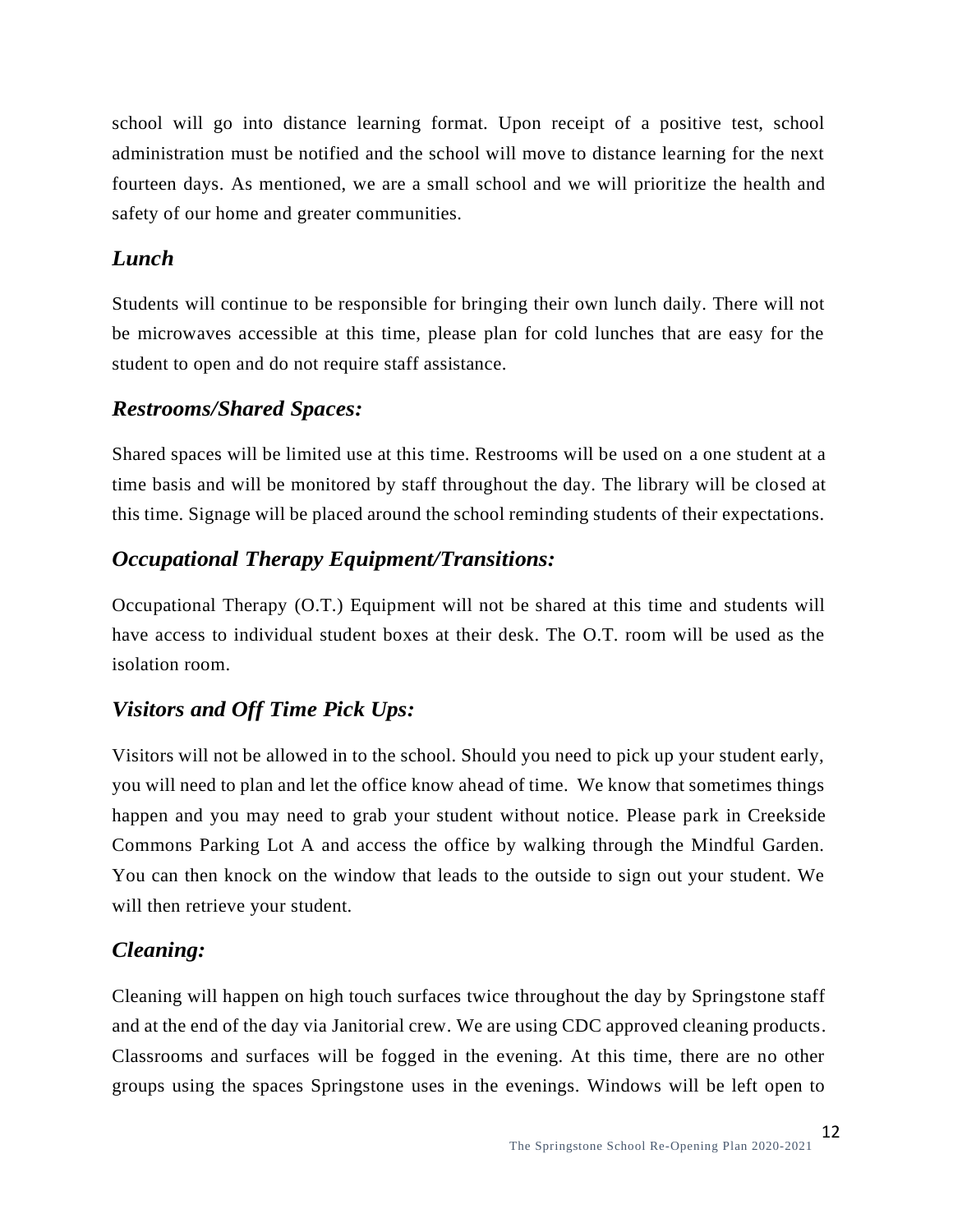school will go into distance learning format. Upon receipt of a positive test, school administration must be notified and the school will move to distance learning for the next fourteen days. As mentioned, we are a small school and we will prioritize the health and safety of our home and greater communities.

#### *Lunch*

Students will continue to be responsible for bringing their own lunch daily. There will not be microwaves accessible at this time, please plan for cold lunches that are easy for the student to open and do not require staff assistance.

#### *Restrooms/Shared Spaces:*

Shared spaces will be limited use at this time. Restrooms will be used on a one student at a time basis and will be monitored by staff throughout the day. The library will be closed at this time. Signage will be placed around the school reminding students of their expectations.

## *Occupational Therapy Equipment/Transitions:*

Occupational Therapy (O.T.) Equipment will not be shared at this time and students will have access to individual student boxes at their desk. The O.T. room will be used as the isolation room.

## *Visitors and Off Time Pick Ups:*

Visitors will not be allowed in to the school. Should you need to pick up your student early, you will need to plan and let the office know ahead of time. We know that sometimes things happen and you may need to grab your student without notice. Please park in Creekside Commons Parking Lot A and access the office by walking through the Mindful Garden. You can then knock on the window that leads to the outside to sign out your student. We will then retrieve your student.

#### *Cleaning:*

Cleaning will happen on high touch surfaces twice throughout the day by Springstone staff and at the end of the day via Janitorial crew. We are using CDC approved cleaning products. Classrooms and surfaces will be fogged in the evening. At this time, there are no other groups using the spaces Springstone uses in the evenings. Windows will be left open to